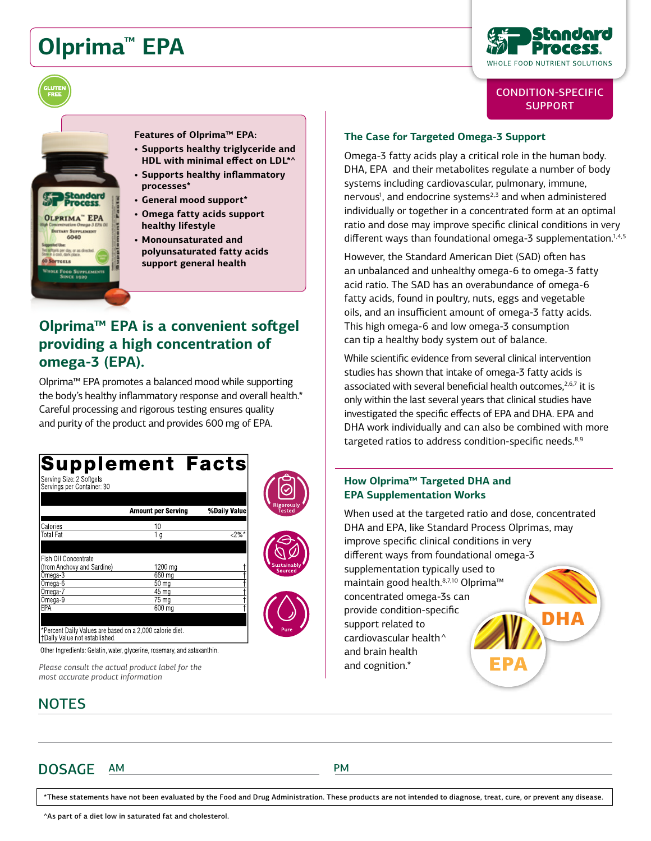# **Olprima™ EPA**

**OLPRIMA" EPA DIETARY SUPPLEMENT** 6040



## CONDITION-SPECIFIC **SUPPORT**

**Features of Olprima™ EPA:**

- **• Supports healthy triglyceride and HDL with minimal effect on LDL\*^**
- **• Supports healthy inflammatory processes\***
- **• General mood support\***
- **• Omega fatty acids support healthy lifestyle**
- **• Monounsaturated and polyunsaturated fatty acids support general health**

# **Olprima™ EPA is a convenient softgel providing a high concentration of omega-3 (EPA).**

Olprima™ EPA promotes a balanced mood while supporting the body's healthy inflammatory response and overall health.\* Careful processing and rigorous testing ensures quality and purity of the product and provides 600 mg of EPA.

#### **Supplement Facts** Serving Size: 2 Softgels Servings per Container: 30 **Amount per Serving** %Daily Value Calories  $10$  $2%$ **Total Fat**  $\overline{1}$  a Fish Oil Concentrate (from Anchovy and Sardine) 1200 mg Omega-3 660 mg Omega-6  $50 \text{ ma}$ Omega-7  $45 \,\mathrm{mg}$ Omega-9  $75 \text{ ma}$ EPA 600 mg ercent Daily Values are based on a 2,000 calorie diet. †Daily Value not established.

Other Ingredients: Gelatin, water, glycerine, rosemary, and astaxanthin.

*Please consult the actual product label for the most accurate product information*

## **NOTES**

## **The Case for Targeted Omega-3 Support**

Omega-3 fatty acids play a critical role in the human body. DHA, EPA and their metabolites regulate a number of body systems including cardiovascular, pulmonary, immune, nervous<sup>1</sup>, and endocrine systems<sup>2,3</sup> and when administered individually or together in a concentrated form at an optimal ratio and dose may improve specific clinical conditions in very different ways than foundational omega-3 supplementation.<sup>1,4,5</sup>

However, the Standard American Diet (SAD) often has an unbalanced and unhealthy omega-6 to omega-3 fatty acid ratio. The SAD has an overabundance of omega-6 fatty acids, found in poultry, nuts, eggs and vegetable oils, and an insufficient amount of omega-3 fatty acids. This high omega-6 and low omega-3 consumption can tip a healthy body system out of balance.

While scientific evidence from several clinical intervention studies has shown that intake of omega-3 fatty acids is associated with several beneficial health outcomes, $2,6,7$  it is only within the last several years that clinical studies have investigated the specific effects of EPA and DHA. EPA and DHA work individually and can also be combined with more targeted ratios to address condition-specific needs.<sup>8,9</sup>

### **How Olprima™ Targeted DHA and EPA Supplementation Works**

DHA EPA When used at the targeted ratio and dose, concentrated DHA and EPA, like Standard Process Olprimas, may improve specific clinical conditions in very different ways from foundational omega-3 supplementation typically used to maintain good health.<sup>8,7,10</sup> Olprima<sup>™</sup> concentrated omega-3s can provide condition-specific support related to cardiovascular health^ and brain health and cognition.\*

DOSAGE AM PM

\*These statements have not been evaluated by the Food and Drug Administration. These products are not intended to diagnose, treat, cure, or prevent any disease.